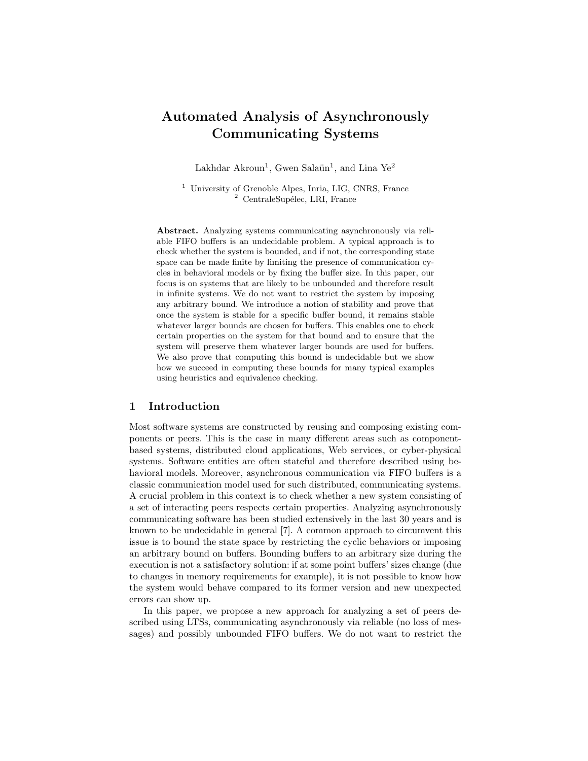# Automated Analysis of Asynchronously Communicating Systems

Lakhdar Akroun<sup>1</sup>, Gwen Salaün<sup>1</sup>, and Lina Ye<sup>2</sup>

<sup>1</sup> University of Grenoble Alpes, Inria, LIG, CNRS, France  $2$  CentraleSupélec, LRI, France

Abstract. Analyzing systems communicating asynchronously via reliable FIFO buffers is an undecidable problem. A typical approach is to check whether the system is bounded, and if not, the corresponding state space can be made finite by limiting the presence of communication cycles in behavioral models or by fixing the buffer size. In this paper, our focus is on systems that are likely to be unbounded and therefore result in infinite systems. We do not want to restrict the system by imposing any arbitrary bound. We introduce a notion of stability and prove that once the system is stable for a specific buffer bound, it remains stable whatever larger bounds are chosen for buffers. This enables one to check certain properties on the system for that bound and to ensure that the system will preserve them whatever larger bounds are used for buffers. We also prove that computing this bound is undecidable but we show how we succeed in computing these bounds for many typical examples using heuristics and equivalence checking.

# 1 Introduction

Most software systems are constructed by reusing and composing existing components or peers. This is the case in many different areas such as componentbased systems, distributed cloud applications, Web services, or cyber-physical systems. Software entities are often stateful and therefore described using behavioral models. Moreover, asynchronous communication via FIFO buffers is a classic communication model used for such distributed, communicating systems. A crucial problem in this context is to check whether a new system consisting of a set of interacting peers respects certain properties. Analyzing asynchronously communicating software has been studied extensively in the last 30 years and is known to be undecidable in general [7]. A common approach to circumvent this issue is to bound the state space by restricting the cyclic behaviors or imposing an arbitrary bound on buffers. Bounding buffers to an arbitrary size during the execution is not a satisfactory solution: if at some point buffers' sizes change (due to changes in memory requirements for example), it is not possible to know how the system would behave compared to its former version and new unexpected errors can show up.

In this paper, we propose a new approach for analyzing a set of peers described using LTSs, communicating asynchronously via reliable (no loss of messages) and possibly unbounded FIFO buffers. We do not want to restrict the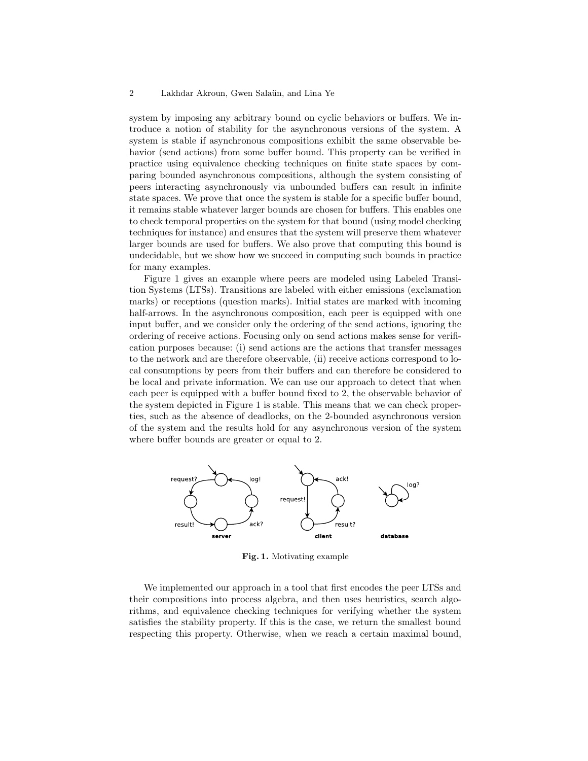#### 2 Lakhdar Akroun, Gwen Salaün, and Lina Ye

system by imposing any arbitrary bound on cyclic behaviors or buffers. We introduce a notion of stability for the asynchronous versions of the system. A system is stable if asynchronous compositions exhibit the same observable behavior (send actions) from some buffer bound. This property can be verified in practice using equivalence checking techniques on finite state spaces by comparing bounded asynchronous compositions, although the system consisting of peers interacting asynchronously via unbounded buffers can result in infinite state spaces. We prove that once the system is stable for a specific buffer bound, it remains stable whatever larger bounds are chosen for buffers. This enables one to check temporal properties on the system for that bound (using model checking techniques for instance) and ensures that the system will preserve them whatever larger bounds are used for buffers. We also prove that computing this bound is undecidable, but we show how we succeed in computing such bounds in practice for many examples.

Figure 1 gives an example where peers are modeled using Labeled Transition Systems (LTSs). Transitions are labeled with either emissions (exclamation marks) or receptions (question marks). Initial states are marked with incoming half-arrows. In the asynchronous composition, each peer is equipped with one input buffer, and we consider only the ordering of the send actions, ignoring the ordering of receive actions. Focusing only on send actions makes sense for verification purposes because: (i) send actions are the actions that transfer messages to the network and are therefore observable, (ii) receive actions correspond to local consumptions by peers from their buffers and can therefore be considered to be local and private information. We can use our approach to detect that when each peer is equipped with a buffer bound fixed to 2, the observable behavior of the system depicted in Figure 1 is stable. This means that we can check properties, such as the absence of deadlocks, on the 2-bounded asynchronous version of the system and the results hold for any asynchronous version of the system where buffer bounds are greater or equal to 2.



Fig. 1. Motivating example

We implemented our approach in a tool that first encodes the peer LTSs and their compositions into process algebra, and then uses heuristics, search algorithms, and equivalence checking techniques for verifying whether the system satisfies the stability property. If this is the case, we return the smallest bound respecting this property. Otherwise, when we reach a certain maximal bound,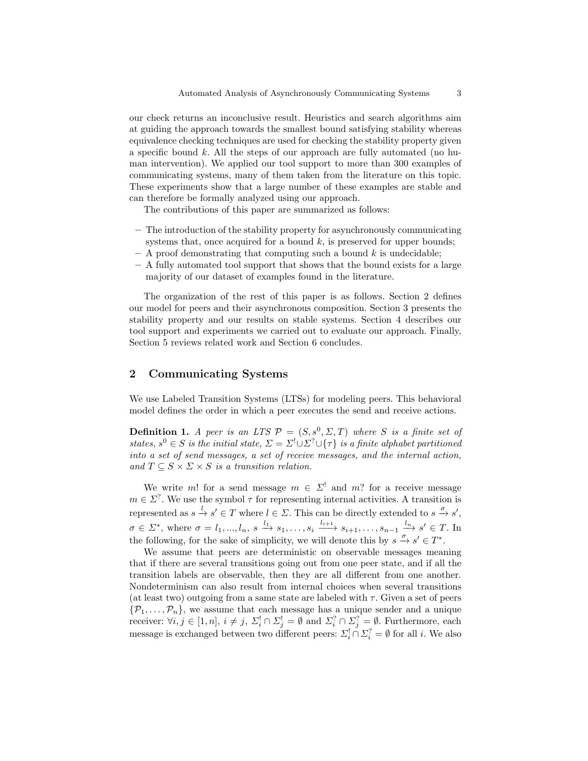our check returns an inconclusive result. Heuristics and search algorithms aim at guiding the approach towards the smallest bound satisfying stability whereas equivalence checking techniques are used for checking the stability property given a specific bound k. All the steps of our approach are fully automated (no human intervention). We applied our tool support to more than 300 examples of communicating systems, many of them taken from the literature on this topic. These experiments show that a large number of these examples are stable and can therefore be formally analyzed using our approach.

The contributions of this paper are summarized as follows:

- The introduction of the stability property for asynchronously communicating systems that, once acquired for a bound  $k$ , is preserved for upper bounds;
- $-$  A proof demonstrating that computing such a bound k is undecidable;
- A fully automated tool support that shows that the bound exists for a large majority of our dataset of examples found in the literature.

The organization of the rest of this paper is as follows. Section 2 defines our model for peers and their asynchronous composition. Section 3 presents the stability property and our results on stable systems. Section 4 describes our tool support and experiments we carried out to evaluate our approach. Finally, Section 5 reviews related work and Section 6 concludes.

## 2 Communicating Systems

We use Labeled Transition Systems (LTSs) for modeling peers. This behavioral model defines the order in which a peer executes the send and receive actions.

**Definition 1.** A peer is an LTS  $\mathcal{P} = (S, s^0, \Sigma, T)$  where S is a finite set of states,  $s^0 \in S$  is the initial state,  $\Sigma = \Sigma^! \cup \Sigma^? \cup \{\tau\}$  is a finite alphabet partitioned into a set of send messages, a set of receive messages, and the internal action, and  $T \subseteq S \times \Sigma \times S$  is a transition relation.

We write m! for a send message  $m \in \Sigma^!$  and  $m$ ? for a receive message  $m \in \Sigma^?$ . We use the symbol  $\tau$  for representing internal activities. A transition is represented as  $s \stackrel{l}{\to} s' \in T$  where  $l \in \Sigma$ . This can be directly extended to  $s \stackrel{\sigma}{\to} s'$ ,  $\sigma \in \Sigma^*$ , where  $\sigma = l_1, ..., l_n$ ,  $s \xrightarrow{l_1} s_1, ..., s_i \xrightarrow{l_{i+1}} s_{i+1}, ..., s_{n-1} \xrightarrow{l_n} s' \in T$ . In the following, for the sake of simplicity, we will denote this by  $s \stackrel{\sigma}{\to} s' \in T^*$ .

We assume that peers are deterministic on observable messages meaning that if there are several transitions going out from one peer state, and if all the transition labels are observable, then they are all different from one another. Nondeterminism can also result from internal choices when several transitions (at least two) outgoing from a same state are labeled with  $\tau$ . Given a set of peers  $\{\mathcal{P}_1,\ldots,\mathcal{P}_n\}$ , we assume that each message has a unique sender and a unique receiver:  $\forall i, j \in [1, n], i \neq j$ ,  $\Sigma_i^! \cap \Sigma_j^! = \emptyset$  and  $\Sigma_i^? \cap \Sigma_j^? = \emptyset$ . Furthermore, each message is exchanged between two different peers:  $\Sigma_i^! \cap \Sigma_i^? = \emptyset$  for all *i*. We also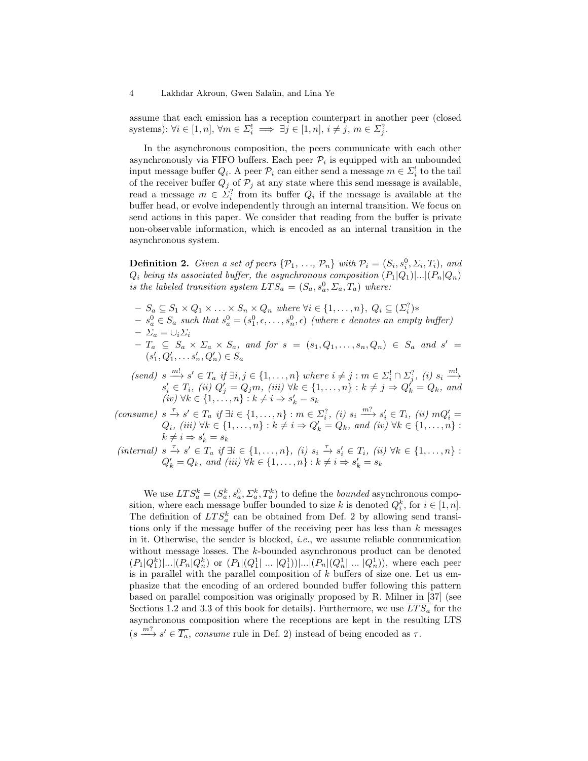assume that each emission has a reception counterpart in another peer (closed systems):  $\forall i \in [1, n], \forall m \in \Sigma_i^! \implies \exists j \in [1, n], i \neq j, m \in \Sigma_j^?$ .

In the asynchronous composition, the peers communicate with each other asynchronously via FIFO buffers. Each peer  $\mathcal{P}_i$  is equipped with an unbounded input message buffer  $Q_i$ . A peer  $\mathcal{P}_i$  can either send a message  $m \in \Sigma_i^!$  to the tail of the receiver buffer  $Q_j$  of  $\mathcal{P}_j$  at any state where this send message is available, read a message  $m \in \Sigma_i^?$  from its buffer  $Q_i$  if the message is available at the buffer head, or evolve independently through an internal transition. We focus on send actions in this paper. We consider that reading from the buffer is private non-observable information, which is encoded as an internal transition in the asynchronous system.

**Definition 2.** Given a set of peers  $\{\mathcal{P}_1, \ldots, \mathcal{P}_n\}$  with  $\mathcal{P}_i = (S_i, s_i^0, \Sigma_i, T_i)$ , and  $Q_i$  being its associated buffer, the asynchronous composition  $(P_1|Q_1)|...|(P_n|Q_n)$ is the labeled transition system  $LTS_a = (S_a, s_a^0, \Sigma_a, T_a)$  where:

- $-S_a \subseteq S_1 \times Q_1 \times \ldots \times S_n \times Q_n$  where  $\forall i \in \{1, \ldots, n\}, Q_i \subseteq (\Sigma_i^?)*$  $-s_a^0 \in S_a$  such that  $s_a^0 = (s_1^0, \epsilon, \ldots, s_n^0, \epsilon)$  (where  $\epsilon$  denotes an empty buffer)
- $-\Sigma_a=\cup_i\Sigma_i$

 $-T_a \subseteq S_a \times \Sigma_a \times S_a$ , and for  $s = (s_1, Q_1, \ldots, s_n, Q_n) \in S_a$  and  $s' =$  $(s'_1, Q'_1, \ldots s'_n, Q'_n) \in S_a$ 

 $(send) \ s \xrightarrow{m!} s' \in T_a \ \text{if } \exists i, j \in \{1, \ldots, n\} \ \text{where} \ i \neq j : m \in \Sigma_i^! \cap \Sigma_j^? \ \text{if} \ s_i \xrightarrow{m!} s' \in T_a \ \text{if } \ v_i \in \{1, \ldots, n\} \ \text{where} \ i \neq j : m \in \Sigma_i^! \cap \Sigma_j^? \ \text{if} \ s_i \xrightarrow{m!} s' \in \{1, \ldots, n\} \ \text{if} \ s_i \neq j : m \in \Sigma_i^! \cap \Sigma_j^? \ \text{if} \ s_i \xrightarrow{m!} s'$  $s_i' \in T_i$ , (ii)  $Q_j' = Q_j m$ , (iii)  $\forall k \in \{1, ..., n\} : k \neq j \Rightarrow Q_k' = Q_k$ , and  $(iv) \forall k \in \{1, \ldots, n\} : k \neq i \Rightarrow s'_k = s_k$ 

 $(ensure) s \stackrel{\tau}{\rightarrow} s' \in T_a \text{ if } \exists i \in \{1, \ldots, n\} : m \in \Sigma_i^?$ , (i)  $s_i \stackrel{m?}{\rightarrow} s'_i \in T_i$ , (ii)  $mQ'_i =$  $Q_i$ , (iii)  $\forall k \in \{1, \ldots, n\} : k \neq i \Rightarrow Q'_k = Q_k$ , and (iv)  $\forall k \in \{1, \ldots, n\}$ :  $k \neq i \Rightarrow s'_k = s_k$ 

(internal)  $s \stackrel{\tau}{\to} s' \in T_a$  if  $\exists i \in \{1, ..., n\},$  (i)  $s_i \stackrel{\tau}{\to} s'_i \in T_i$ , (ii)  $\forall k \in \{1, ..., n\}$ :  $Q'_k = Q_k$ , and (iii)  $\forall k \in \{1, ..., n\} : k \neq i \Rightarrow s'_k = s_k$ 

We use  $LTS_a^k = (S_a^k, s_a^0, \Sigma_a^k, T_a^k)$  to define the *bounded* asynchronous composition, where each message buffer bounded to size k is denoted  $Q_i^k$ , for  $i \in [1, n]$ . The definition of  $LTS_a^k$  can be obtained from Def. 2 by allowing send transitions only if the message buffer of the receiving peer has less than  $k$  messages in it. Otherwise, the sender is blocked, i.e., we assume reliable communication without message losses. The k-bounded asynchronous product can be denoted  $(P_1|Q_1^k)|...|(P_n|Q_n^k)$  or  $(P_1|(Q_1^1|...|Q_1^1))|...|(P_n|(Q_n^1|...|Q_n^1|))$ , where each peer is in parallel with the parallel composition of  $k$  buffers of size one. Let us emphasize that the encoding of an ordered bounded buffer following this pattern based on parallel composition was originally proposed by R. Milner in [37] (see Sections 1.2 and 3.3 of this book for details). Furthermore, we use  $\overline{LTS_a}$  for the asynchronous composition where the receptions are kept in the resulting LTS  $(s \xrightarrow{m?} s' \in \overline{T_a}$ , consume rule in Def. 2) instead of being encoded as  $\tau$ .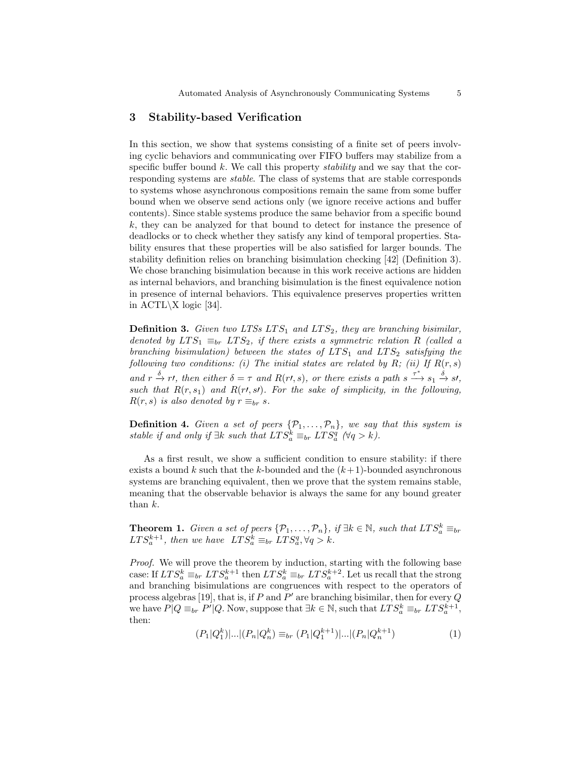### 3 Stability-based Verification

In this section, we show that systems consisting of a finite set of peers involving cyclic behaviors and communicating over FIFO buffers may stabilize from a specific buffer bound  $k$ . We call this property *stability* and we say that the corresponding systems are stable. The class of systems that are stable corresponds to systems whose asynchronous compositions remain the same from some buffer bound when we observe send actions only (we ignore receive actions and buffer contents). Since stable systems produce the same behavior from a specific bound k, they can be analyzed for that bound to detect for instance the presence of deadlocks or to check whether they satisfy any kind of temporal properties. Stability ensures that these properties will be also satisfied for larger bounds. The stability definition relies on branching bisimulation checking [42] (Definition 3). We chose branching bisimulation because in this work receive actions are hidden as internal behaviors, and branching bisimulation is the finest equivalence notion in presence of internal behaviors. This equivalence preserves properties written in  $\text{ACTL}\X$  logic [34].

**Definition 3.** Given two LTSs LTS<sub>1</sub> and LTS<sub>2</sub>, they are branching bisimilar, denoted by  $LTS_1 \equiv_{br} LTS_2$ , if there exists a symmetric relation R (called a branching bisimulation) between the states of  $LTS_1$  and  $LTS_2$  satisfying the following two conditions: (i) The initial states are related by  $R$ ; (ii) If  $R(r, s)$ and  $r \xrightarrow{\delta} r'$ , then either  $\delta = \tau$  and  $R(r', s)$ , or there exists a path  $s \xrightarrow{\tau^*} s_1 \xrightarrow{\delta} s'$ , such that  $R(r, s_1)$  and  $R(r, s_1)$ . For the sake of simplicity, in the following,  $R(r, s)$  is also denoted by  $r \equiv_{br} s$ .

**Definition 4.** Given a set of peers  $\{\mathcal{P}_1, \ldots, \mathcal{P}_n\}$ , we say that this system is stable if and only if  $\exists k$  such that  $LTS_a^k \equiv_{br} LTS_a^q$  ( $\forall q > k$ ).

As a first result, we show a sufficient condition to ensure stability: if there exists a bound k such that the k-bounded and the  $(k+1)$ -bounded asynchronous systems are branching equivalent, then we prove that the system remains stable, meaning that the observable behavior is always the same for any bound greater than k.

**Theorem 1.** Given a set of peers  $\{\mathcal{P}_1, \ldots, \mathcal{P}_n\}$ , if  $\exists k \in \mathbb{N}$ , such that  $LTS_a^k \equiv_{br}$  $LTS_a^{k+1}$ , then we have  $LTS_a^k \equiv_{br} LTS_a^q, \forall q > k$ .

Proof. We will prove the theorem by induction, starting with the following base case: If  $LTS_a^k \equiv_{br} LTS_a^{k+1}$  then  $LTS_a^k \equiv_{br} LTS_a^{k+2}$ . Let us recall that the strong and branching bisimulations are congruences with respect to the operators of process algebras [19], that is, if  $P$  and  $P'$  are branching bisimilar, then for every  $Q$ we have  $P|Q \equiv_{br} P^i|Q$ . Now, suppose that  $\exists k \in \mathbb{N}$ , such that  $LTS_a^k \equiv_{br} LTS_a^{k+1}$ , then:

$$
(P_1|Q_1^k)|...|(P_n|Q_n^k) \equiv_{br} (P_1|Q_1^{k+1})|...|(P_n|Q_n^{k+1})
$$
\n(1)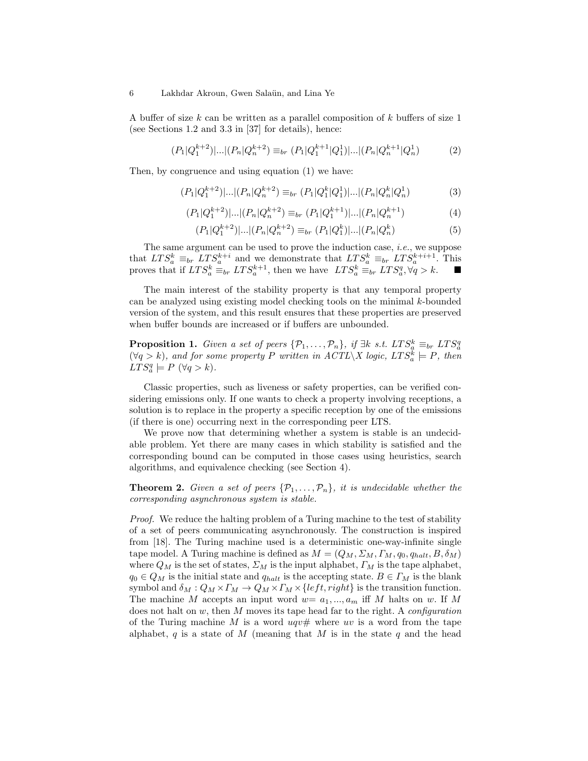#### 6 Lakhdar Akroun, Gwen Salaün, and Lina Ye

A buffer of size k can be written as a parallel composition of  $k$  buffers of size 1 (see Sections 1.2 and 3.3 in [37] for details), hence:

$$
(P_1|Q_1^{k+2})|...|(P_n|Q_n^{k+2}) \equiv_{br} (P_1|Q_1^{k+1}|Q_1^1)|...|(P_n|Q_n^{k+1}|Q_n^1)
$$
 (2)

Then, by congruence and using equation (1) we have:

$$
(P_1|Q_1^{k+2})|...|(P_n|Q_n^{k+2}) \equiv_{br} (P_1|Q_1^k|Q_1^1)|...|(P_n|Q_n^k|Q_n^1)
$$
\n(3)

$$
(P_1|Q_1^{k+2})|...|(P_n|Q_n^{k+2}) \equiv_{br} (P_1|Q_1^{k+1})|...|(P_n|Q_n^{k+1})
$$
\n
$$
(4)
$$

$$
(P_1|Q_1^{k+2})|...|(P_n|Q_n^{k+2}) \equiv_{br} (P_1|Q_1^k)|...|(P_n|Q_n^k)
$$
\n(5)

The same argument can be used to prove the induction case, i.e., we suppose that  $LTS_a^k \equiv_{br} LTS_a^{k+i}$  and we demonstrate that  $LTS_a^k \equiv_{br} LTS_a^{k+i+1}$ . This proves that if  $LTS_a^k \equiv_{br} LTS_a^{k+1}$ , then we have  $LTS_a^k \equiv_{br} LTS_a^q$ ,  $\forall q > k$ .

The main interest of the stability property is that any temporal property can be analyzed using existing model checking tools on the minimal k-bounded version of the system, and this result ensures that these properties are preserved when buffer bounds are increased or if buffers are unbounded.

**Proposition 1.** Given a set of peers  $\{\mathcal{P}_1, \ldots, \mathcal{P}_n\}$ , if  $\exists k$  s.t.  $LTS_a^k \equiv_{br} LTS_a^q$ <br> $(\forall q > k)$ , and for some property P written in  $ACTL \setminus X$  logic,  $LTS_a^k \models P$ , then  $LTS_a^q \models P \ (\forall q > k).$ 

Classic properties, such as liveness or safety properties, can be verified considering emissions only. If one wants to check a property involving receptions, a solution is to replace in the property a specific reception by one of the emissions (if there is one) occurring next in the corresponding peer LTS.

We prove now that determining whether a system is stable is an undecidable problem. Yet there are many cases in which stability is satisfied and the corresponding bound can be computed in those cases using heuristics, search algorithms, and equivalence checking (see Section 4).

**Theorem 2.** Given a set of peers  $\{\mathcal{P}_1, \ldots, \mathcal{P}_n\}$ , it is undecidable whether the corresponding asynchronous system is stable.

Proof. We reduce the halting problem of a Turing machine to the test of stability of a set of peers communicating asynchronously. The construction is inspired from [18]. The Turing machine used is a deterministic one-way-infinite single tape model. A Turing machine is defined as  $M = (Q_M, \Sigma_M, \Gamma_M, q_0, q_{halt}, B, \delta_M)$ where  $Q_M$  is the set of states,  $\Sigma_M$  is the input alphabet,  $\Gamma_M$  is the tape alphabet,  $q_0 \in Q_M$  is the initial state and  $q_{halt}$  is the accepting state.  $B \in \Gamma_M$  is the blank symbol and  $\delta_M:Q_M\times \varGamma_M\to Q_M\times \varGamma_M\times \{left, right\}$  is the transition function. The machine M accepts an input word  $w = a_1, ..., a_m$  iff M halts on w. If M does not halt on  $w$ , then M moves its tape head far to the right. A *configuration* of the Turing machine M is a word  $uqv#$  where uv is a word from the tape alphabet, q is a state of M (meaning that M is in the state q and the head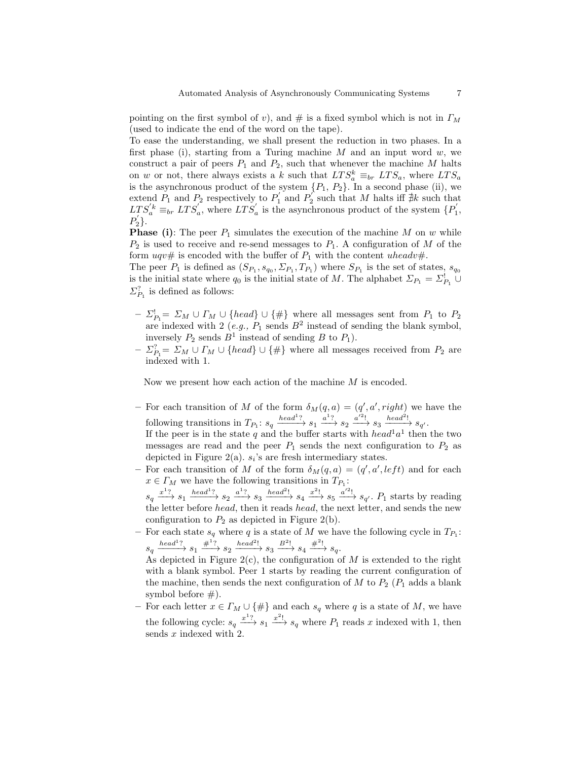pointing on the first symbol of v), and  $\#$  is a fixed symbol which is not in  $\Gamma_M$ (used to indicate the end of the word on the tape).

To ease the understanding, we shall present the reduction in two phases. In a first phase (i), starting from a Turing machine  $M$  and an input word  $w$ , we construct a pair of peers  $P_1$  and  $P_2$ , such that whenever the machine M halts on w or not, there always exists a k such that  $LTS_a^k \equiv_{br} LTS_a$ , where  $LTS_a$ is the asynchronous product of the system  $\{P_1, P_2\}$ . In a second phase (ii), we extend  $P_1$  and  $P_2$  respectively to  $P'_1$  and  $P'_2$  such that M halts iff  $\sharp k$  such that  $LTS_a^{'k} \equiv_{br} LTS_a^{'},$  where  $LTS_a^{'}$  is the asynchronous product of the system  $\{P_1^{'}\}$ ,  $P_{2}^{\prime}\}.$ 

**Phase (i):** The peer  $P_1$  simulates the execution of the machine M on w while  $P_2$  is used to receive and re-send messages to  $P_1$ . A configuration of M of the form  $uqv\#$  is encoded with the buffer of  $P_1$  with the content uheadv#.

The peer  $P_1$  is defined as  $(S_{P_1}, s_{q_0}, \Sigma_{P_1}, T_{P_1})$  where  $S_{P_1}$  is the set of states,  $s_{q_0}$ is the initial state where  $q_0$  is the initial state of M. The alphabet  $\Sigma_{P_1} = \Sigma_{P_1}^!$   $\cup$  $\Sigma_{P_1}^?$  is defined as follows:

- Σ! <sup>P</sup>1= Σ<sup>M</sup> ∪ Γ<sup>M</sup> ∪ {head} ∪ {#} where all messages sent from P<sup>1</sup> to P<sup>2</sup> are indexed with 2 (e.g.,  $P_1$  sends  $B^2$  instead of sending the blank symbol, inversely  $P_2$  sends  $B^1$  instead of sending B to  $P_1$ ).
- $\Sigma_{P_1}^?$  =  $\Sigma_M \cup \Gamma_M \cup \{head\}$   $\cup$  {#} where all messages received from  $P_2$  are indexed with 1.

Now we present how each action of the machine M is encoded.

- For each transition of M of the form  $\delta_M(q, a) = (q', a', right)$  we have the following transitions in  $T_{P_1}: s_q \xrightarrow{head^1?} s_1 \xrightarrow{a^1?} s_2 \xrightarrow{a'^2!} s_3 \xrightarrow{head^2!} s_{q'}.$ 

If the peer is in the state q and the buffer starts with  $head^1a^1$  then the two messages are read and the peer  $P_1$  sends the next configuration to  $P_2$  as depicted in Figure 2(a).  $s_i$ 's are fresh intermediary states.

- For each transition of M of the form  $\delta_M(q,a) = (q',a', left)$  and for each  $x \in \Gamma_M$  we have the following transitions in  $T_{P_1}$ :

 $s_q \xrightarrow{x_1?} s_1 \xrightarrow{heat_1?} s_2 \xrightarrow{a_1?} s_3 \xrightarrow{head_1?} s_4 \xrightarrow{x_1} s_5 \xrightarrow{a'^2!} s_{q'}. P_1$  starts by reading the letter before head, then it reads head, the next letter, and sends the new configuration to  $P_2$  as depicted in Figure 2(b).

- For each state  $s_q$  where q is a state of M we have the following cycle in  $T_{P_1}$ :  $s_q \xrightarrow{head^1?} s_1 \xrightarrow{\#^1?} s_2 \xrightarrow{head^2!} s_3 \xrightarrow{B^2!} s_4 \xrightarrow{\#^2!} s_q.$ 

As depicted in Figure  $2(c)$ , the configuration of M is extended to the right with a blank symbol. Peer 1 starts by reading the current configuration of the machine, then sends the next configuration of  $M$  to  $P_2$  ( $P_1$  adds a blank symbol before  $#$ ).

For each letter  $x \in \Gamma_M \cup \{\#\}$  and each  $s_q$  where q is a state of M, we have the following cycle:  $s_q \xrightarrow{x^{17}} s_1 \xrightarrow{x^{21}} s_q$  where  $P_1$  reads x indexed with 1, then sends x indexed with 2.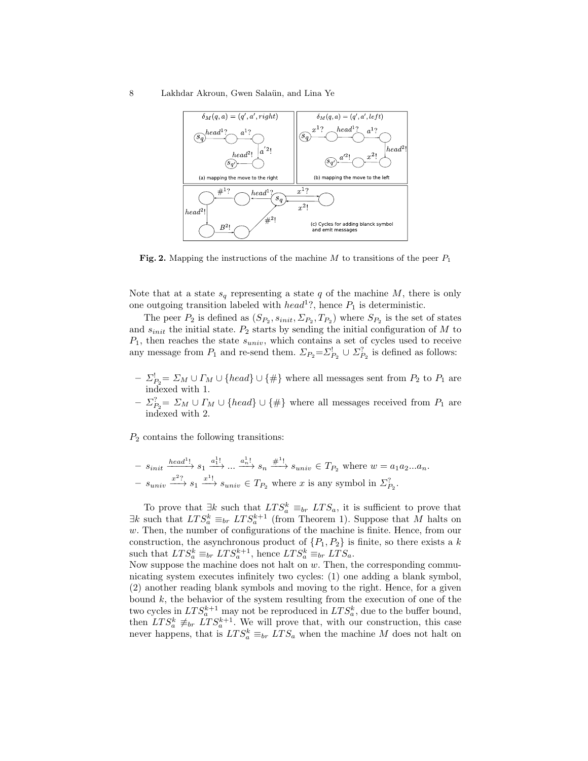#### 8 Lakhdar Akroun, Gwen Salaün, and Lina Ye



Fig. 2. Mapping the instructions of the machine M to transitions of the peer  $P_1$ 

Note that at a state  $s_q$  representing a state q of the machine M, there is only one outgoing transition labeled with  $head^1$ ?, hence  $P_1$  is deterministic.

The peer  $P_2$  is defined as  $(S_{P_2}, s_{init}, \Sigma_{P_2}, T_{P_2})$  where  $S_{P_2}$  is the set of states and  $s_{init}$  the initial state.  $P_2$  starts by sending the initial configuration of M to  $P_1$ , then reaches the state  $s_{univ}$ , which contains a set of cycles used to receive any message from  $P_1$  and re-send them.  $\Sigma_{P_2} = \Sigma_{P_2}^! \cup \Sigma_{P_2}^?$  is defined as follows:

- $\Sigma_{P_2}^! = \Sigma_M \cup \Gamma_M \cup \{head\} \cup \{ \# \}$  where all messages sent from  $P_2$  to  $P_1$  are indexed with 1.
- $\Sigma_{P_2}^?$  =  $\Sigma_M \cup \Gamma_M \cup \{head\}$   $\cup$  {#} where all messages received from  $P_1$  are indexed with 2.

 $P_2$  contains the following transitions:

 $- s_{init} \xrightarrow{heat^1} s_1 \xrightarrow{a_1^1} \ldots \xrightarrow{a_n^1} s_n \xrightarrow{\#^1} s_{univ} \in T_{P_2}$  where  $w = a_1 a_2 ... a_n$ .  $-s_{univ} \xrightarrow{x^2} s_1 \xrightarrow{x^1} s_{univ} \in T_{P_2}$  where x is any symbol in  $\Sigma_{P_2}^?$ .

To prove that  $\exists k$  such that  $LTS_a^k \equiv_{br} LTS_a$ , it is sufficient to prove that  $\exists k$  such that  $LTS_a^k \equiv_{br} LTS_a^{k+1}$  (from Theorem 1). Suppose that M halts on  $w$ . Then, the number of configurations of the machine is finite. Hence, from our construction, the asynchronous product of  $\{P_1, P_2\}$  is finite, so there exists a k such that  $LTS_a^k \equiv_{br} LTS_a^{k+1}$ , hence  $LTS_a^k \equiv_{br} LTS_a$ .

Now suppose the machine does not halt on  $w$ . Then, the corresponding communicating system executes infinitely two cycles: (1) one adding a blank symbol, (2) another reading blank symbols and moving to the right. Hence, for a given bound  $k$ , the behavior of the system resulting from the execution of one of the two cycles in  $LTS_a^{k+1}$  may not be reproduced in  $LTS_a^k$ , due to the buffer bound, then  $LTS_a^k \not\equiv_{br} LTS_a^{k+1}$ . We will prove that, with our construction, this case never happens, that is  $LTS_a^k \equiv_{br} LTS_a$  when the machine M does not halt on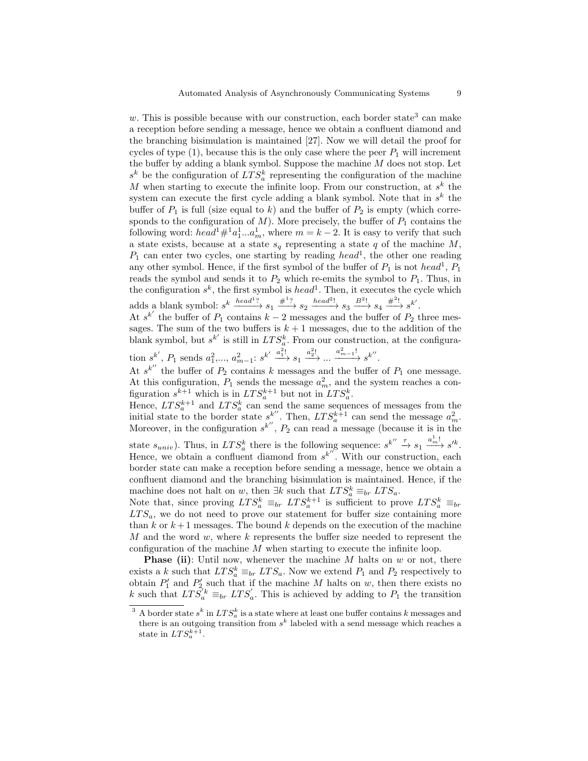$w$ . This is possible because with our construction, each border state<sup>3</sup> can make a reception before sending a message, hence we obtain a confluent diamond and the branching bisimulation is maintained [27]. Now we will detail the proof for cycles of type  $(1)$ , because this is the only case where the peer  $P_1$  will increment the buffer by adding a blank symbol. Suppose the machine  $M$  does not stop. Let  $s^k$  be the configuration of  $LTS_a^k$  representing the configuration of the machine M when starting to execute the infinite loop. From our construction, at  $s^k$  the system can execute the first cycle adding a blank symbol. Note that in  $s^k$  the buffer of  $P_1$  is full (size equal to k) and the buffer of  $P_2$  is empty (which corresponds to the configuration of  $M$ ). More precisely, the buffer of  $P_1$  contains the following word:  $head^1#^{1}a_1^1...a_m^1$ , where  $m = k - 2$ . It is easy to verify that such a state exists, because at a state  $s_q$  representing a state q of the machine M,  $P_1$  can enter two cycles, one starting by reading head<sup>1</sup>, the other one reading any other symbol. Hence, if the first symbol of the buffer of  $P_1$  is not  $head^1$ ,  $P_1$ reads the symbol and sends it to  $P_2$  which re-emits the symbol to  $P_1$ . Thus, in the configuration  $s^k$ , the first symbol is  $head^1$ . Then, it executes the cycle which adds a blank symbol:  $s^k \xrightarrow{head^1?} s_1 \xrightarrow{\#?} s_2 \xrightarrow{head^2!} s_3 \xrightarrow{B^2!} s_4 \xrightarrow{\#?} s^k'.$ 

At  $s^{k'}$  the buffer of  $P_1$  contains  $k-2$  messages and the buffer of  $P_2$  three messages. The sum of the two buffers is  $k + 1$  messages, due to the addition of the blank symbol, but  $s^{k'}$  is still in  $LTS_a^k$ . From our construction, at the configura-

tion  $s^{k'}$ ,  $P_1$  sends  $a_1^2, \ldots, a_{m-1}^2$ :  $s^{k'} \xrightarrow{a_1^2!} s_1 \xrightarrow{a_2^2!} \ldots \xrightarrow{a_{m-1}^2} s^{k''}$ .

At  $s^{k}$  the buffer of  $P_2$  contains k messages and the buffer of  $P_1$  one message. At this configuration,  $P_1$  sends the message  $a_m^2$ , and the system reaches a configuration  $s^{k+1}$  which is in  $LTS_a^{k+1}$  but not in  $LTS_a^k$ .

Hence,  $LTS_a^{k+1}$  and  $LTS_a^k$  can send the same sequences of messages from the initial state to the border state  $s^{k''}$ . Then,  $LTS_a^{k+1}$  can send the message  $a_m^2$ . Moreover, in the configuration  $s^{k''}$ ,  $P_2$  can read a message (because it is in the state  $s_{univ}$ ). Thus, in  $LTS_a^k$  there is the following sequence:  $s^{k''} \stackrel{\tau}{\rightarrow} s_1 \stackrel{a_m^1!}{\longrightarrow} s'^k$ . Hence, we obtain a confluent diamond from  $s^{k''}$ . With our construction, each border state can make a reception before sending a message, hence we obtain a confluent diamond and the branching bisimulation is maintained. Hence, if the machine does not halt on w, then  $\exists k$  such that  $LTS_a^k \equiv_{br} LTS_a$ .

Note that, since proving  $LTS_a^k \equiv_{br} LTS_a^{k+1}$  is sufficient to prove  $LTS_a^k \equiv_{br}$  $LTS_a$ , we do not need to prove our statement for buffer size containing more than k or  $k+1$  messages. The bound k depends on the execution of the machine M and the word  $w$ , where  $k$  represents the buffer size needed to represent the configuration of the machine  $M$  when starting to execute the infinite loop.

**Phase (ii):** Until now, whenever the machine  $M$  halts on  $w$  or not, there exists a k such that  $LTS_a^k \equiv_{br} LTS_a$ . Now we extend  $P_1$  and  $P_2$  respectively to obtain  $P'_1$  and  $P'_2$  such that if the machine M halts on w, then there exists no k such that  $LTS_a^{'k} \equiv_{br} LTS_a'$ . This is achieved by adding to  $P_1$  the transition

<sup>&</sup>lt;sup>3</sup> A border state  $s^k$  in  $LTS_a^k$  is a state where at least one buffer contains k messages and there is an outgoing transition from  $s<sup>k</sup>$  labeled with a send message which reaches a state in  $LTS_a^{k+1}$ .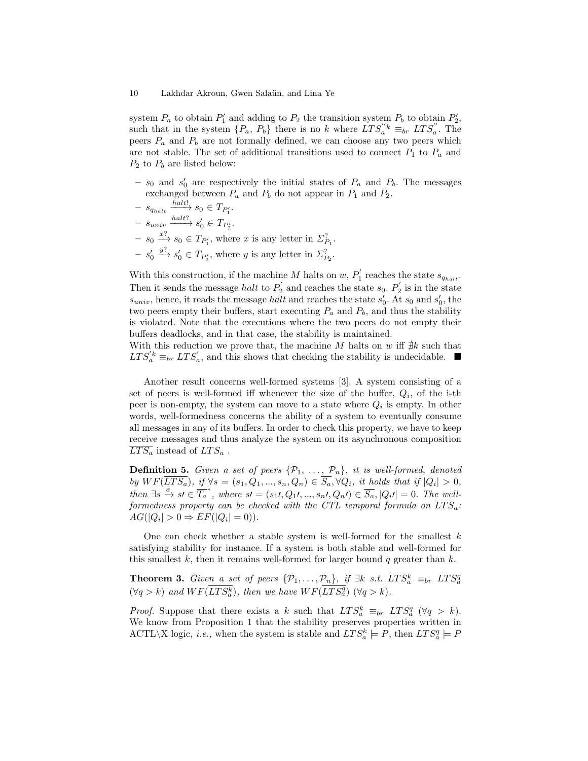system  $P_a$  to obtain  $P'_1$  and adding to  $P_2$  the transition system  $P_b$  to obtain  $P'_2$ , such that in the system  $\{P_a, P_b\}$  there is no k where  $LTS_a^{''k} \equiv_{br} LTS_a^{''}$ . The peers  $P_a$  and  $P_b$  are not formally defined, we can choose any two peers which are not stable. The set of additional transitions used to connect  $P_1$  to  $P_a$  and  $P_2$  to  $P_b$  are listed below:

- $s_0$  and  $s'_0$  are respectively the initial states of  $P_a$  and  $P_b$ . The messages exchanged between  $P_a$  and  $P_b$  do not appear in  $P_1$  and  $P_2$ .
- $s_{q_{halt}} \xrightarrow{halt!} s_0 \in T_{P_1'}$ .
- $s_{univ} \xrightarrow{halt?} s'_0 \in T_{P'_2}.$
- $s_0 \xrightarrow{x?} s_0 \in T_{P'_1}$ , where x is any letter in  $\Sigma_{P_1}^?$ .
- $s'_0$  $y^? \Rightarrow s'_0 \in T_{P'_2}$ , where y is any letter in  $\Sigma_{P_2}^?$ .

With this construction, if the machine M halts on  $w, P'_1$  reaches the state  $s_{q_{halt}}$ . Then it sends the message *halt* to  $P'_2$  and reaches the state  $s_0$ .  $P'_2$  is in the state  $s_{univ}$ , hence, it reads the message *halt* and reaches the state  $s'_0$ . At  $s_0$  and  $s'_0$ , the two peers empty their buffers, start executing  $P_a$  and  $P_b$ , and thus the stability is violated. Note that the executions where the two peers do not empty their buffers deadlocks, and in that case, the stability is maintained.

With this reduction we prove that, the machine M halts on w iff  $\#k$  such that  $LTS_a^{'k} \equiv_{br} LTS_a^{'}$ , and this shows that checking the stability is undecidable.

Another result concerns well-formed systems [3]. A system consisting of a set of peers is well-formed iff whenever the size of the buffer,  $Q_i$ , of the i-th peer is non-empty, the system can move to a state where  $Q_i$  is empty. In other words, well-formedness concerns the ability of a system to eventually consume all messages in any of its buffers. In order to check this property, we have to keep receive messages and thus analyze the system on its asynchronous composition  $\overline{LTS_a}$  instead of  $LTS_a$ .

**Definition 5.** Given a set of peers  $\{\mathcal{P}_1, \ldots, \mathcal{P}_n\}$ , it is well-formed, denoted by  $WF(\overline{LTS_a})$ , if  $\forall s = (s_1, Q_1, ..., s_n, Q_n) \in \overline{S_a}$ ,  $\forall Q_i$ , it holds that if  $|Q_i| > 0$ , then  $\exists s \stackrel{\sigma}{\to} st \in \overline{T_a}^*$ , where  $st = (s_1, Q_1, ..., s_n, Q_n) \in \overline{S_a}$ ,  $|Q_i t| = 0$ . The wellformedness property can be checked with the CTL temporal formula on  $\overline{LTS_a}$ :  $AG(|Q_i| > 0 \Rightarrow EF(|Q_i| = 0)).$ 

One can check whether a stable system is well-formed for the smallest  $k$ satisfying stability for instance. If a system is both stable and well-formed for this smallest  $k$ , then it remains well-formed for larger bound  $q$  greater than  $k$ .

**Theorem 3.** Given a set of peers  $\{\mathcal{P}_1,\ldots,\mathcal{P}_n\}$ , if  $\exists k$  s.t.  $LTS_a^k \equiv_{br} LTS_a^q$  $(\forall q > k)$  and  $WF(\overline{LTS_a^k})$ , then we have  $WF(\overline{LTS_a^q})$   $(\forall q > k)$ .

*Proof.* Suppose that there exists a k such that  $LTS_a^k \equiv_{br} LTS_a^q \ (\forall q > k)$ . We know from Proposition 1 that the stability preserves properties written in ACTL\X logic, *i.e.*, when the system is stable and  $LTS_a^k \models P$ , then  $LTS_a^q \models P$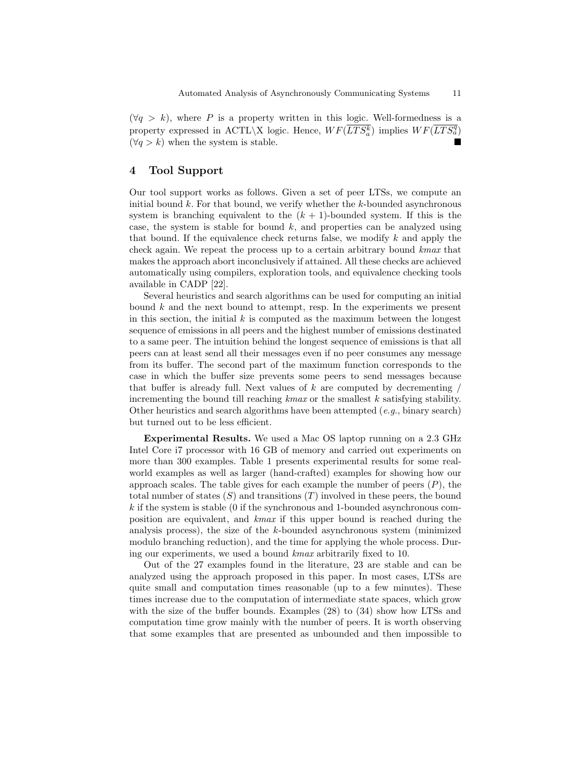$(\forall q > k)$ , where P is a property written in this logic. Well-formedness is a property expressed in ACTL\X logic. Hence,  $WF(\overline{LTS_a^k})$  implies  $WF(\overline{LTS_a^q})$  $(\forall q > k)$  when the system is stable.

### 4 Tool Support

Our tool support works as follows. Given a set of peer LTSs, we compute an initial bound  $k$ . For that bound, we verify whether the  $k$ -bounded asynchronous system is branching equivalent to the  $(k + 1)$ -bounded system. If this is the case, the system is stable for bound  $k$ , and properties can be analyzed using that bound. If the equivalence check returns false, we modify  $k$  and apply the check again. We repeat the process up to a certain arbitrary bound kmax that makes the approach abort inconclusively if attained. All these checks are achieved automatically using compilers, exploration tools, and equivalence checking tools available in CADP [22].

Several heuristics and search algorithms can be used for computing an initial bound  $k$  and the next bound to attempt, resp. In the experiments we present in this section, the initial  $k$  is computed as the maximum between the longest sequence of emissions in all peers and the highest number of emissions destinated to a same peer. The intuition behind the longest sequence of emissions is that all peers can at least send all their messages even if no peer consumes any message from its buffer. The second part of the maximum function corresponds to the case in which the buffer size prevents some peers to send messages because that buffer is already full. Next values of  $k$  are computed by decrementing / incrementing the bound till reaching  $kmax$  or the smallest  $k$  satisfying stability. Other heuristics and search algorithms have been attempted  $(e.g.,$  binary search) but turned out to be less efficient.

Experimental Results. We used a Mac OS laptop running on a 2.3 GHz Intel Core i7 processor with 16 GB of memory and carried out experiments on more than 300 examples. Table 1 presents experimental results for some realworld examples as well as larger (hand-crafted) examples for showing how our approach scales. The table gives for each example the number of peers  $(P)$ , the total number of states  $(S)$  and transitions  $(T)$  involved in these peers, the bound  $k$  if the system is stable (0 if the synchronous and 1-bounded asynchronous composition are equivalent, and kmax if this upper bound is reached during the analysis process), the size of the k-bounded asynchronous system (minimized modulo branching reduction), and the time for applying the whole process. During our experiments, we used a bound kmax arbitrarily fixed to 10.

Out of the 27 examples found in the literature, 23 are stable and can be analyzed using the approach proposed in this paper. In most cases, LTSs are quite small and computation times reasonable (up to a few minutes). These times increase due to the computation of intermediate state spaces, which grow with the size of the buffer bounds. Examples (28) to (34) show how LTSs and computation time grow mainly with the number of peers. It is worth observing that some examples that are presented as unbounded and then impossible to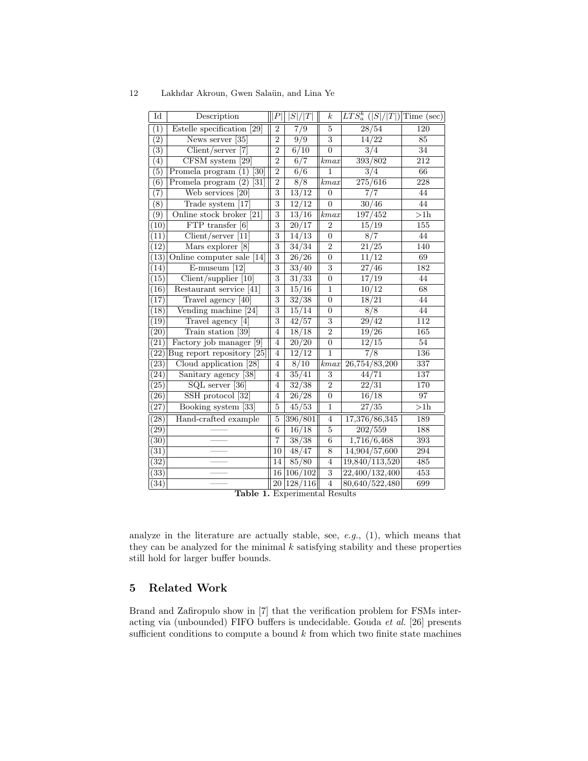| $_{\rm Id}$        | Description                                  | $\boldsymbol{P}$ | S / T            | $\boldsymbol{k}$ | $\overline{LTS_{a}^{k}\ ( S / T )}$ | Time (sec)       |
|--------------------|----------------------------------------------|------------------|------------------|------------------|-------------------------------------|------------------|
| $\overline{(1)}$   | Estelle specification [29]                   | $\sqrt{2}$       | 7/9              | $\bf 5$          | $\sqrt{28/54}$                      | 120              |
| $\overline{(2)}$   | News server [35]                             | $\overline{2}$   | $\overline{9/9}$ | $\overline{3}$   | $\frac{14}{22}$                     | 85               |
| (3)                | Client/server<br>$[7]$                       | $\overline{2}$   | 6/10             | $\overline{0}$   | 3/4                                 | 34               |
| $\left( 4\right)$  | CFSM system<br>$\overline{[29]}$             | $\overline{2}$   | $\overline{6/7}$ | kmax             | 393/802                             | $\overline{212}$ |
| (5)                | Promela program<br>[30]<br>(1)               | $\overline{2}$   | 6/6              | $\mathbf{1}$     | 3/4                                 | 66               |
| (6)                | Promela program<br>(2)<br>$\left[ 31\right]$ | $\overline{2}$   | $\overline{8/8}$ | $\bar{k}$ max    | 275/616                             | 228              |
| $\overline{(7)}$   | Web services [20]                            | $\overline{3}$   | 13/12            | $\overline{0}$   | 7/7                                 | $44\,$           |
| (8)                | Trade system<br>$[17]$                       | $\overline{3}$   | 12/12            | $\overline{0}$   | 30/46                               | $44\,$           |
| $\overline{(9)}$   | Online stock broker<br>[21]                  | $\overline{3}$   | 13/16            | kmax             | 197/452                             | >1h              |
| (10)               | $FTP$ transfer $[6]$                         | $\overline{3}$   | $\sqrt{20/17}$   | $\overline{2}$   | 15/19                               | 155              |
| (11)               | Client/server<br>$\lceil 11 \rceil$          | $\overline{3}$   | 14/13            | $\overline{0}$   | 8/7                                 | 44               |
| (12)               | Mars explorer [8]                            | $\overline{3}$   | 34/34            | $\overline{2}$   | 21/25                               | 140              |
| (13)               | Online computer sale [14]                    | $\overline{3}$   | 26/26            | $\overline{0}$   | 11/12                               | 69               |
| (14)               | E-museum $[12]$                              | $\overline{3}$   | 33/40            | $\overline{3}$   | 27/46                               | 182              |
| (15)               | $Client/supplier$ [10]                       | 3                | 31/33            | $\boldsymbol{0}$ | 17/19                               | 44               |
| (16)               | Restaurant service [41]                      | $\overline{3}$   | 15/16            | $\overline{1}$   | 10/12                               | 68               |
| (17)               | Travel agency [40]                           | $\overline{3}$   | 32/38            | $\boldsymbol{0}$ | 18/21                               | 44               |
| (18)               | Vending machine [24]                         | $\overline{3}$   | 15/14            | $\overline{0}$   | $\overline{8/8}$                    | 44               |
| (19)               | Travel agency [4]                            | 3                | 42/57            | 3                | $\sqrt{29/42}$                      | 112              |
| (20)               | Train station [39]                           | $\overline{4}$   | 18/18            | $\overline{2}$   | $\frac{19}{26}$                     | 165              |
| (21)               | Factory job manager [9]                      | $\overline{4}$   | $\sqrt{20/20}$   | $\overline{0}$   | 12/15                               | $54\,$           |
| (22)               | Bug report repository<br>[25]                | $\overline{4}$   | 12/12            | $\mathbf{1}$     | 7/8                                 | 136              |
| $\left( 23\right)$ | Cloud application [28]                       | $\overline{4}$   | 8/10             | kmax             | 26,754/83,200                       | 337              |
| $\overline{(24)}$  | Sanitary agency [38]                         | $\overline{4}$   | 35/41            | 3                | 44/71                               | 137              |
| $^{(25)}$          | SQL server [36]                              | $\overline{4}$   | 32/38            | $\overline{2}$   | 22/31                               | $170\,$          |
| (26)               | SSH protocol [32]                            | $\overline{4}$   | $\sqrt{26/28}$   | $\overline{0}$   | 16/18                               | 97               |
| (27)               | Booking system [33]                          | 5                | 45/53            | $\overline{1}$   | 27/35                               | >1h              |
| (28)               | Hand-crafted example                         | 5                | 396/801          | $\overline{4}$   | 17,376/86,345                       | 189              |
| (29)               |                                              | 6                | 16/18            | 5                | 202/559                             | 188              |
| $\overline{(30)}$  |                                              | 7                | 38/38            | $\,6$            | 1,716/6,468                         | 393              |
| (31)               |                                              | 10               | 48/47            | 8                | 14,904/57,600                       | $\,294$          |
| $\overline{(32)}$  |                                              | 14               | 85/80            | $\overline{4}$   | 19,840/113,520                      | 485              |
| $\overline{(33)}$  |                                              | 16               | 106/102          | $\overline{3}$   | 22,400/132,400                      | 453              |
| (34)               |                                              |                  | 20 128/116       | $\overline{4}$   | 80,640/522,480                      | 699              |

| 12 | Lakhdar Akroun, Gwen Salaün, and Lina Ye |  |  |  |  |  |  |
|----|------------------------------------------|--|--|--|--|--|--|
|----|------------------------------------------|--|--|--|--|--|--|

Table 1. Experimental Results

analyze in the literature are actually stable, see,  $e.g., (1)$ , which means that they can be analyzed for the minimal  $k$  satisfying stability and these properties still hold for larger buffer bounds.

# 5 Related Work

Brand and Zafiropulo show in [7] that the verification problem for FSMs interacting via (unbounded) FIFO buffers is undecidable. Gouda et al. [26] presents sufficient conditions to compute a bound  $k$  from which two finite state machines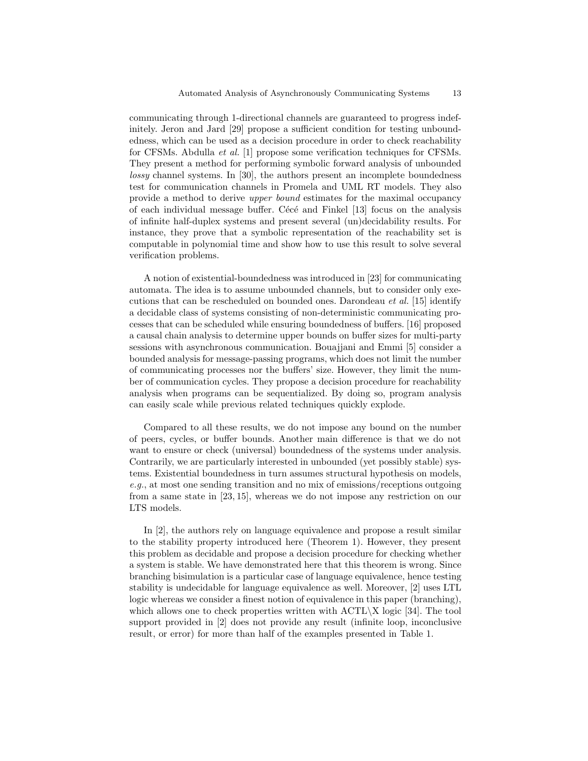communicating through 1-directional channels are guaranteed to progress indefinitely. Jeron and Jard [29] propose a sufficient condition for testing unboundedness, which can be used as a decision procedure in order to check reachability for CFSMs. Abdulla et al. [1] propose some verification techniques for CFSMs. They present a method for performing symbolic forward analysis of unbounded lossy channel systems. In [30], the authors present an incomplete boundedness test for communication channels in Promela and UML RT models. They also provide a method to derive upper bound estimates for the maximal occupancy of each individual message buffer. Cécé and Finkel [13] focus on the analysis of infinite half-duplex systems and present several (un)decidability results. For instance, they prove that a symbolic representation of the reachability set is computable in polynomial time and show how to use this result to solve several verification problems.

A notion of existential-boundedness was introduced in [23] for communicating automata. The idea is to assume unbounded channels, but to consider only executions that can be rescheduled on bounded ones. Darondeau et al. [15] identify a decidable class of systems consisting of non-deterministic communicating processes that can be scheduled while ensuring boundedness of buffers. [16] proposed a causal chain analysis to determine upper bounds on buffer sizes for multi-party sessions with asynchronous communication. Bouajjani and Emmi [5] consider a bounded analysis for message-passing programs, which does not limit the number of communicating processes nor the buffers' size. However, they limit the number of communication cycles. They propose a decision procedure for reachability analysis when programs can be sequentialized. By doing so, program analysis can easily scale while previous related techniques quickly explode.

Compared to all these results, we do not impose any bound on the number of peers, cycles, or buffer bounds. Another main difference is that we do not want to ensure or check (universal) boundedness of the systems under analysis. Contrarily, we are particularly interested in unbounded (yet possibly stable) systems. Existential boundedness in turn assumes structural hypothesis on models, e.g., at most one sending transition and no mix of emissions/receptions outgoing from a same state in [23, 15], whereas we do not impose any restriction on our LTS models.

In [2], the authors rely on language equivalence and propose a result similar to the stability property introduced here (Theorem 1). However, they present this problem as decidable and propose a decision procedure for checking whether a system is stable. We have demonstrated here that this theorem is wrong. Since branching bisimulation is a particular case of language equivalence, hence testing stability is undecidable for language equivalence as well. Moreover, [2] uses LTL logic whereas we consider a finest notion of equivalence in this paper (branching), which allows one to check properties written with  $\text{ACTL}\X$  logic [34]. The tool support provided in [2] does not provide any result (infinite loop, inconclusive result, or error) for more than half of the examples presented in Table 1.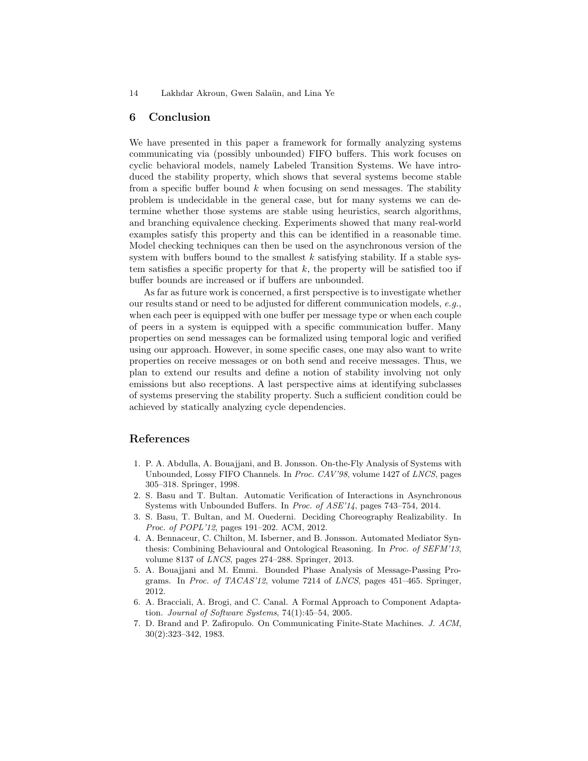### 6 Conclusion

We have presented in this paper a framework for formally analyzing systems communicating via (possibly unbounded) FIFO buffers. This work focuses on cyclic behavioral models, namely Labeled Transition Systems. We have introduced the stability property, which shows that several systems become stable from a specific buffer bound  $k$  when focusing on send messages. The stability problem is undecidable in the general case, but for many systems we can determine whether those systems are stable using heuristics, search algorithms, and branching equivalence checking. Experiments showed that many real-world examples satisfy this property and this can be identified in a reasonable time. Model checking techniques can then be used on the asynchronous version of the system with buffers bound to the smallest  $k$  satisfying stability. If a stable system satisfies a specific property for that  $k$ , the property will be satisfied too if buffer bounds are increased or if buffers are unbounded.

As far as future work is concerned, a first perspective is to investigate whether our results stand or need to be adjusted for different communication models, e.g., when each peer is equipped with one buffer per message type or when each couple of peers in a system is equipped with a specific communication buffer. Many properties on send messages can be formalized using temporal logic and verified using our approach. However, in some specific cases, one may also want to write properties on receive messages or on both send and receive messages. Thus, we plan to extend our results and define a notion of stability involving not only emissions but also receptions. A last perspective aims at identifying subclasses of systems preserving the stability property. Such a sufficient condition could be achieved by statically analyzing cycle dependencies.

# References

- 1. P. A. Abdulla, A. Bouajjani, and B. Jonsson. On-the-Fly Analysis of Systems with Unbounded, Lossy FIFO Channels. In Proc. CAV'98, volume 1427 of LNCS, pages 305–318. Springer, 1998.
- 2. S. Basu and T. Bultan. Automatic Verification of Interactions in Asynchronous Systems with Unbounded Buffers. In Proc. of ASE'14, pages 743–754, 2014.
- 3. S. Basu, T. Bultan, and M. Ouederni. Deciding Choreography Realizability. In Proc. of POPL'12, pages 191–202. ACM, 2012.
- 4. A. Bennaceur, C. Chilton, M. Isberner, and B. Jonsson. Automated Mediator Synthesis: Combining Behavioural and Ontological Reasoning. In Proc. of SEFM'13, volume 8137 of LNCS, pages 274–288. Springer, 2013.
- 5. A. Bouajjani and M. Emmi. Bounded Phase Analysis of Message-Passing Programs. In Proc. of TACAS'12, volume 7214 of LNCS, pages 451–465. Springer, 2012.
- 6. A. Bracciali, A. Brogi, and C. Canal. A Formal Approach to Component Adaptation. Journal of Software Systems, 74(1):45–54, 2005.
- 7. D. Brand and P. Zafiropulo. On Communicating Finite-State Machines. J. ACM, 30(2):323–342, 1983.

<sup>14</sup> Lakhdar Akroun, Gwen Salaün, and Lina Ye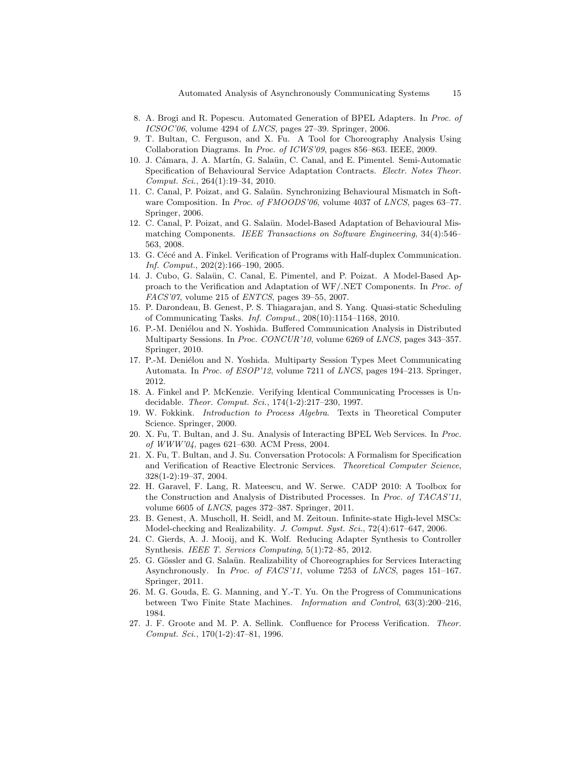- 8. A. Brogi and R. Popescu. Automated Generation of BPEL Adapters. In Proc. of ICSOC'06, volume 4294 of LNCS, pages 27–39. Springer, 2006.
- 9. T. Bultan, C. Ferguson, and X. Fu. A Tool for Choreography Analysis Using Collaboration Diagrams. In Proc. of ICWS'09, pages 856–863. IEEE, 2009.
- 10. J. Cámara, J. A. Martín, G. Salaün, C. Canal, and E. Pimentel. Semi-Automatic Specification of Behavioural Service Adaptation Contracts. Electr. Notes Theor. Comput. Sci., 264(1):19–34, 2010.
- 11. C. Canal, P. Poizat, and G. Salaün. Synchronizing Behavioural Mismatch in Software Composition. In *Proc. of FMOODS'06*, volume 4037 of *LNCS*, pages 63–77. Springer, 2006.
- 12. C. Canal, P. Poizat, and G. Salaün. Model-Based Adaptation of Behavioural Mismatching Components. IEEE Transactions on Software Engineering, 34(4):546– 563, 2008.
- 13. G. Cécé and A. Finkel. Verification of Programs with Half-duplex Communication. Inf. Comput., 202(2):166–190, 2005.
- 14. J. Cubo, G. Salaün, C. Canal, E. Pimentel, and P. Poizat. A Model-Based Approach to the Verification and Adaptation of WF/.NET Components. In Proc. of FACS'07, volume 215 of ENTCS, pages 39–55, 2007.
- 15. P. Darondeau, B. Genest, P. S. Thiagarajan, and S. Yang. Quasi-static Scheduling of Communicating Tasks. Inf. Comput., 208(10):1154–1168, 2010.
- 16. P.-M. Deniélou and N. Yoshida. Buffered Communication Analysis in Distributed Multiparty Sessions. In *Proc. CONCUR'10*, volume 6269 of *LNCS*, pages 343–357. Springer, 2010.
- 17. P.-M. Deniélou and N. Yoshida. Multiparty Session Types Meet Communicating Automata. In Proc. of ESOP'12, volume 7211 of LNCS, pages 194–213. Springer, 2012.
- 18. A. Finkel and P. McKenzie. Verifying Identical Communicating Processes is Undecidable. Theor. Comput. Sci., 174(1-2):217–230, 1997.
- 19. W. Fokkink. Introduction to Process Algebra. Texts in Theoretical Computer Science. Springer, 2000.
- 20. X. Fu, T. Bultan, and J. Su. Analysis of Interacting BPEL Web Services. In Proc. of WWW'04, pages 621–630. ACM Press, 2004.
- 21. X. Fu, T. Bultan, and J. Su. Conversation Protocols: A Formalism for Specification and Verification of Reactive Electronic Services. Theoretical Computer Science, 328(1-2):19–37, 2004.
- 22. H. Garavel, F. Lang, R. Mateescu, and W. Serwe. CADP 2010: A Toolbox for the Construction and Analysis of Distributed Processes. In Proc. of TACAS'11, volume 6605 of LNCS, pages 372–387. Springer, 2011.
- 23. B. Genest, A. Muscholl, H. Seidl, and M. Zeitoun. Infinite-state High-level MSCs: Model-checking and Realizability. J. Comput. Syst. Sci., 72(4):617-647, 2006.
- 24. C. Gierds, A. J. Mooij, and K. Wolf. Reducing Adapter Synthesis to Controller Synthesis. IEEE T. Services Computing, 5(1):72–85, 2012.
- 25. G. Gössler and G. Salaün. Realizability of Choreographies for Services Interacting Asynchronously. In Proc. of FACS'11, volume 7253 of LNCS, pages 151–167. Springer, 2011.
- 26. M. G. Gouda, E. G. Manning, and Y.-T. Yu. On the Progress of Communications between Two Finite State Machines. Information and Control, 63(3):200–216, 1984.
- 27. J. F. Groote and M. P. A. Sellink. Confluence for Process Verification. Theor. Comput. Sci., 170(1-2):47–81, 1996.